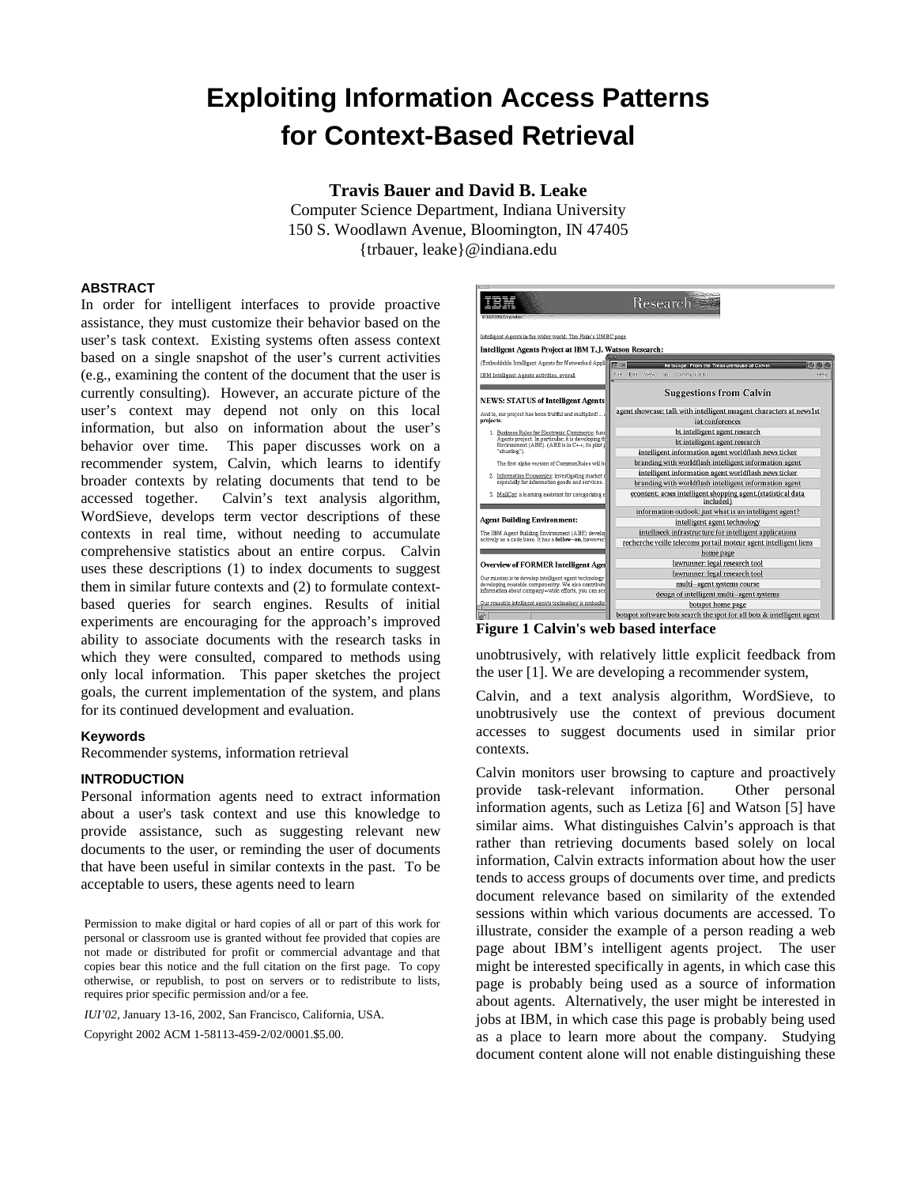# **Exploiting Information Access Patterns for Context-Based Retrieval**

**Travis Bauer and David B. Leake**

Computer Science Department, Indiana University 150 S. Woodlawn Avenue, Bloomington, IN 47405 {trbauer, leake}@indiana.edu

#### **ABSTRACT**

In order for intelligent interfaces to provide proactive assistance, they must customize their behavior based on the user's task context. Existing systems often assess context based on a single snapshot of the user's current activities (e.g., examining the content of the document that the user is currently consulting). However, an accurate picture of the user's context may depend not only on this local information, but also on information about the user's behavior over time. This paper discusses work on a recommender system, Calvin, which learns to identify broader contexts by relating documents that tend to be accessed together. Calvin's text analysis algorithm, WordSieve, develops term vector descriptions of these contexts in real time, without needing to accumulate comprehensive statistics about an entire corpus. Calvin uses these descriptions (1) to index documents to suggest them in similar future contexts and (2) to formulate contextbased queries for search engines. Results of initial experiments are encouraging for the approach's improved ability to associate documents with the research tasks in which they were consulted, compared to methods using only local information. This paper sketches the project goals, the current implementation of the system, and plans for its continued development and evaluation.

#### **Keywords**

Recommender systems, information retrieval

## **INTRODUCTION**

Personal information agents need to extract information about a user's task context and use this knowledge to provide assistance, such as suggesting relevant new documents to the user, or reminding the user of documents that have been useful in similar contexts in the past. To be acceptable to users, these agents need to learn

Permission to make digital or hard copies of all or part of this work for personal or classroom use is granted without fee provided that copies are not made or distributed for profit or commercial advantage and that copies bear this notice and the full citation on the first page. To copy otherwise, or republish, to post on servers or to redistribute to lists, requires prior specific permission and/or a fee.

*IUI'02*, January 13-16, 2002, San Francisco, California, USA.

Copyright 2002 ACM 1-58113-459-2/02/0001.\$5.00.



unobtrusively, with relatively little explicit feedback from the user [1]. We are developing a recommender system,

Calvin, and a text analysis algorithm, WordSieve, to unobtrusively use the context of previous document accesses to suggest documents used in similar prior contexts.

Calvin monitors user browsing to capture and proactively provide task-relevant information. Other personal information agents, such as Letiza [6] and Watson [5] have similar aims. What distinguishes Calvin's approach is that rather than retrieving documents based solely on local information, Calvin extracts information about how the user tends to access groups of documents over time, and predicts document relevance based on similarity of the extended sessions within which various documents are accessed. To illustrate, consider the example of a person reading a web page about IBM's intelligent agents project. The user might be interested specifically in agents, in which case this page is probably being used as a source of information about agents. Alternatively, the user might be interested in jobs at IBM, in which case this page is probably being used as a place to learn more about the company. Studying document content alone will not enable distinguishing these